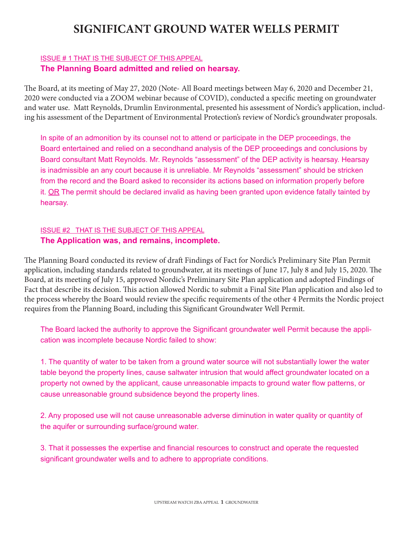# **SIGNIFICANT GROUND WATER WELLS PERMIT**

## ISSUE # 1 THAT IS THE SUBJECT OF THIS APPEAL **The Planning Board admitted and relied on hearsay.**

The Board, at its meeting of May 27, 2020 (Note- All Board meetings between May 6, 2020 and December 21, 2020 were conducted via a ZOOM webinar because of COVID), conducted a specific meeting on groundwater and water use. Matt Reynolds, Drumlin Environmental, presented his assessment of Nordic's application, including his assessment of the Department of Environmental Protection's review of Nordic's groundwater proposals.

In spite of an admonition by its counsel not to attend or participate in the DEP proceedings, the Board entertained and relied on a secondhand analysis of the DEP proceedings and conclusions by Board consultant Matt Reynolds. Mr. Reynolds "assessment" of the DEP activity is hearsay. Hearsay is inadmissible an any court because it is unreliable. Mr Reynolds "assessment" should be stricken from the record and the Board asked to reconsider its actions based on information properly before it. OR The permit should be declared invalid as having been granted upon evidence fatally tainted by hearsay.

# ISSUE #2 THAT IS THE SUBJECT OF THIS APPEAL **The Application was, and remains, incomplete.**

The Planning Board conducted its review of draft Findings of Fact for Nordic's Preliminary Site Plan Permit application, including standards related to groundwater, at its meetings of June 17, July 8 and July 15, 2020. The Board, at its meeting of July 15, approved Nordic's Preliminary Site Plan application and adopted Findings of Fact that describe its decision. This action allowed Nordic to submit a Final Site Plan application and also led to the process whereby the Board would review the specific requirements of the other 4 Permits the Nordic project requires from the Planning Board, including this Significant Groundwater Well Permit.

The Board lacked the authority to approve the Significant groundwater well Permit because the application was incomplete because Nordic failed to show:

1. The quantity of water to be taken from a ground water source will not substantially lower the water table beyond the property lines, cause saltwater intrusion that would affect groundwater located on a property not owned by the applicant, cause unreasonable impacts to ground water flow patterns, or cause unreasonable ground subsidence beyond the property lines.

2. Any proposed use will not cause unreasonable adverse diminution in water quality or quantity of the aquifer or surrounding surface/ground water.

3. That it possesses the expertise and financial resources to construct and operate the requested significant groundwater wells and to adhere to appropriate conditions.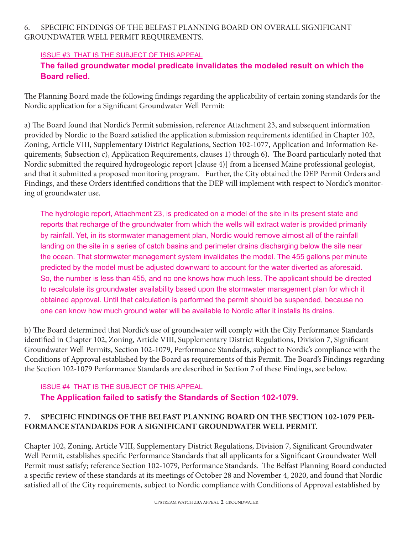## 6. SPECIFIC FINDINGS OF THE BELFAST PLANNING BOARD ON OVERALL SIGNIFICANT GROUNDWATER WELL PERMIT REQUIREMENTS.

#### ISSUE #3 THAT IS THE SUBJECT OF THIS APPEAL

# **The failed groundwater model predicate invalidates the modeled result on which the Board relied.**

The Planning Board made the following findings regarding the applicability of certain zoning standards for the Nordic application for a Significant Groundwater Well Permit:

a) The Board found that Nordic's Permit submission, reference Attachment 23, and subsequent information provided by Nordic to the Board satisfied the application submission requirements identified in Chapter 102, Zoning, Article VIII, Supplementary District Regulations, Section 102-1077, Application and Information Requirements, Subsection c), Application Requirements, clauses 1) through 6). The Board particularly noted that Nordic submitted the required hydrogeologic report [clause 4)] from a licensed Maine professional geologist, and that it submitted a proposed monitoring program. Further, the City obtained the DEP Permit Orders and Findings, and these Orders identified conditions that the DEP will implement with respect to Nordic's monitoring of groundwater use.

The hydrologic report, Attachment 23, is predicated on a model of the site in its present state and reports that recharge of the groundwater from which the wells will extract water is provided primarily by rainfall. Yet, in its stormwater management plan, Nordic would remove almost all of the rainfall landing on the site in a series of catch basins and perimeter drains discharging below the site near the ocean. That stormwater management system invalidates the model. The 455 gallons per minute predicted by the model must be adjusted downward to account for the water diverted as aforesaid. So, the number is less than 455, and no one knows how much less. The applicant should be directed to recalculate its groundwater availability based upon the stormwater management plan for which it obtained approval. Until that calculation is performed the permit should be suspended, because no one can know how much ground water will be available to Nordic after it installs its drains.

b) The Board determined that Nordic's use of groundwater will comply with the City Performance Standards identified in Chapter 102, Zoning, Article VIII, Supplementary District Regulations, Division 7, Significant Groundwater Well Permits, Section 102-1079, Performance Standards, subject to Nordic's compliance with the Conditions of Approval established by the Board as requirements of this Permit. The Board's Findings regarding the Section 102-1079 Performance Standards are described in Section 7 of these Findings, see below.

# ISSUE #4 THAT IS THE SUBJECT OF THIS APPEAL **The Application failed to satisfy the Standards of Section 102-1079.**

# **7. SPECIFIC FINDINGS OF THE BELFAST PLANNING BOARD ON THE SECTION 102-1079 PER-FORMANCE STANDARDS FOR A SIGNIFICANT GROUNDWATER WELL PERMIT.**

Chapter 102, Zoning, Article VIII, Supplementary District Regulations, Division 7, Significant Groundwater Well Permit, establishes specific Performance Standards that all applicants for a Significant Groundwater Well Permit must satisfy; reference Section 102-1079, Performance Standards. The Belfast Planning Board conducted a specific review of these standards at its meetings of October 28 and November 4, 2020, and found that Nordic satisfied all of the City requirements, subject to Nordic compliance with Conditions of Approval established by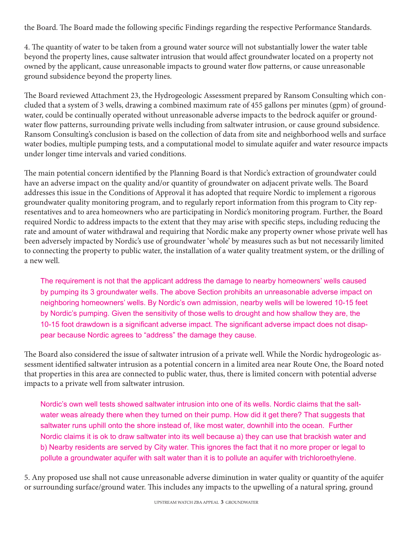the Board. The Board made the following specific Findings regarding the respective Performance Standards.

4. The quantity of water to be taken from a ground water source will not substantially lower the water table beyond the property lines, cause saltwater intrusion that would affect groundwater located on a property not owned by the applicant, cause unreasonable impacts to ground water flow patterns, or cause unreasonable ground subsidence beyond the property lines.

The Board reviewed Attachment 23, the Hydrogeologic Assessment prepared by Ransom Consulting which concluded that a system of 3 wells, drawing a combined maximum rate of 455 gallons per minutes (gpm) of groundwater, could be continually operated without unreasonable adverse impacts to the bedrock aquifer or groundwater flow patterns, surrounding private wells including from saltwater intrusion, or cause ground subsidence. Ransom Consulting's conclusion is based on the collection of data from site and neighborhood wells and surface water bodies, multiple pumping tests, and a computational model to simulate aquifer and water resource impacts under longer time intervals and varied conditions.

The main potential concern identified by the Planning Board is that Nordic's extraction of groundwater could have an adverse impact on the quality and/or quantity of groundwater on adjacent private wells. The Board addresses this issue in the Conditions of Approval it has adopted that require Nordic to implement a rigorous groundwater quality monitoring program, and to regularly report information from this program to City representatives and to area homeowners who are participating in Nordic's monitoring program. Further, the Board required Nordic to address impacts to the extent that they may arise with specific steps, including reducing the rate and amount of water withdrawal and requiring that Nordic make any property owner whose private well has been adversely impacted by Nordic's use of groundwater 'whole' by measures such as but not necessarily limited to connecting the property to public water, the installation of a water quality treatment system, or the drilling of a new well.

The requirement is not that the applicant address the damage to nearby homeowners' wells caused by pumping its 3 groundwater wells. The above Section prohibits an unreasonable adverse impact on neighboring homeowners' wells. By Nordic's own admission, nearby wells will be lowered 10-15 feet by Nordic's pumping. Given the sensitivity of those wells to drought and how shallow they are, the 10-15 foot drawdown is a significant adverse impact. The significant adverse impact does not disappear because Nordic agrees to "address" the damage they cause.

The Board also considered the issue of saltwater intrusion of a private well. While the Nordic hydrogeologic assessment identified saltwater intrusion as a potential concern in a limited area near Route One, the Board noted that properties in this area are connected to public water, thus, there is limited concern with potential adverse impacts to a private well from saltwater intrusion.

Nordic's own well tests showed saltwater intrusion into one of its wells. Nordic claims that the saltwater weas already there when they turned on their pump. How did it get there? That suggests that saltwater runs uphill onto the shore instead of, like most water, downhill into the ocean. Further Nordic claims it is ok to draw saltwater into its well because a) they can use that brackish water and b) Nearby residents are served by City water. This ignores the fact that it no more proper or legal to pollute a groundwater aquifer with salt water than it is to pollute an aquifer with trichloroethylene.

5. Any proposed use shall not cause unreasonable adverse diminution in water quality or quantity of the aquifer or surrounding surface/ground water. This includes any impacts to the upwelling of a natural spring, ground